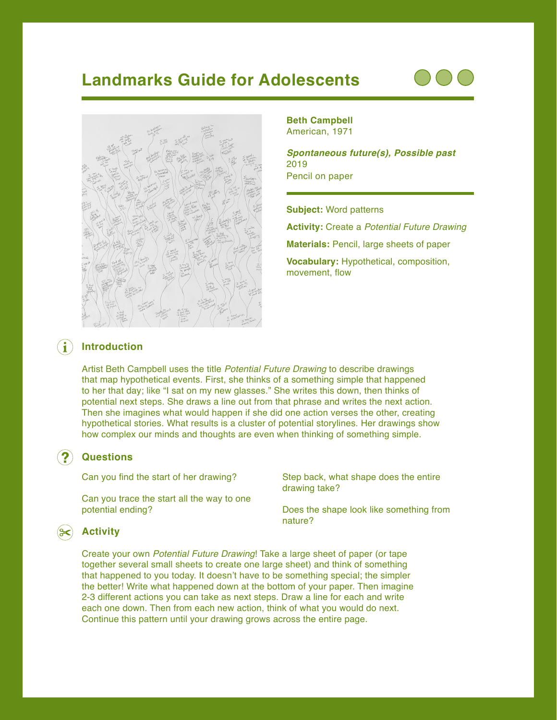# **Landmarks Guide for Adolescents**





**Beth Campbell** American, 1971

*Spontaneous future(s), Possible past* 2019 Pencil on paper

**Subject:** Word patterns

**Activity:** Create a *Potential Future Drawing*

**Materials:** Pencil, large sheets of paper

**Vocabulary:** Hypothetical, composition, movement, flow

### $\left( \mathbf{i}\right)$ **Introduction**

Artist Beth Campbell uses the title *Potential Future Drawing* to describe drawings that map hypothetical events. First, she thinks of a something simple that happened to her that day; like "I sat on my new glasses." She writes this down, then thinks of potential next steps. She draws a line out from that phrase and writes the next action. Then she imagines what would happen if she did one action verses the other, creating hypothetical stories. What results is a cluster of potential storylines. Her drawings show how complex our minds and thoughts are even when thinking of something simple.

## **Questions**

Can you find the start of her drawing?

Can you trace the start all the way to one potential ending?

Step back, what shape does the entire drawing take?

Does the shape look like something from nature?

## **Activity**

Create your own *Potential Future Drawing*! Take a large sheet of paper (or tape together several small sheets to create one large sheet) and think of something that happened to you today. It doesn't have to be something special; the simpler the better! Write what happened down at the bottom of your paper. Then imagine 2-3 different actions you can take as next steps. Draw a line for each and write each one down. Then from each new action, think of what you would do next. Continue this pattern until your drawing grows across the entire page.